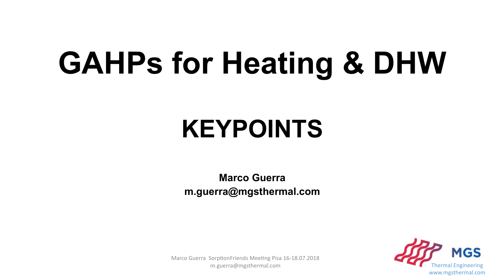## **GAHPs for Heating & DHW**

### **KEYPOINTS**

**Marco Guerra m.guerra@mgsthermal.com**



Marco Guerra SorptionFriends Meeting Pisa 16-18.07.2018 m.guerra@mgsthermal.com Thermal Engineering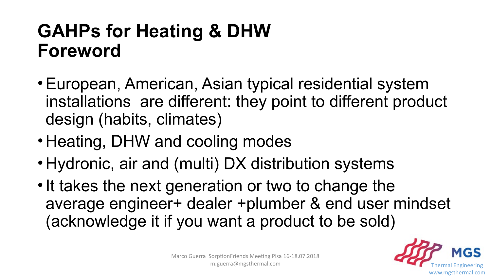#### **GAHPs for Heating & DHW Foreword**

- •European, American, Asian typical residential system installations are different: they point to different product design (habits, climates)
- Heating, DHW and cooling modes
- Hydronic, air and (multi) DX distribution systems
- It takes the next generation or two to change the average engineer+ dealer +plumber & end user mindset (acknowledge it if you want a product to be sold)

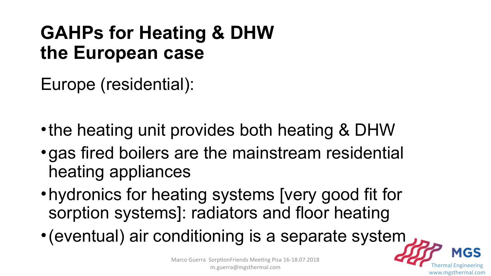#### **GAHPs for Heating & DHW the European case**

Europe (residential):

- the heating unit provides both heating & DHW
- •gas fired boilers are the mainstream residential heating appliances
- •hydronics for heating systems [very good fit for sorption systems]: radiators and floor heating
- •(eventual) air conditioning is a separate system



www.mgsthermal.com

MGS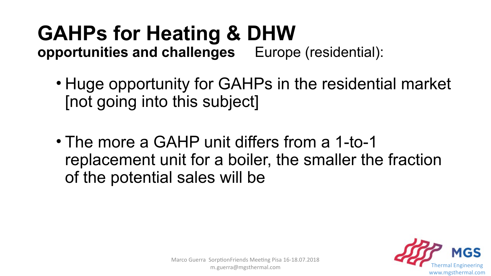#### **GAHPs for Heating & DHW opportunities and challenges** Europe (residential):

- Huge opportunity for GAHPs in the residential market [not going into this subject]
- The more a GAHP unit differs from a 1-to-1 replacement unit for a boiler, the smaller the fraction of the potential sales will be

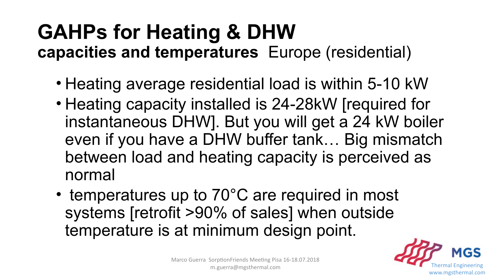#### **GAHPs for Heating & DHW capacities and temperatures** Europe (residential)

- Heating average residential load is within 5-10 kW
- Heating capacity installed is 24-28kW [required for instantaneous DHW]. But you will get a 24 kW boiler even if you have a DHW buffer tank… Big mismatch between load and heating capacity is perceived as normal
- temperatures up to 70°C are required in most systems [retrofit >90% of sales] when outside temperature is at minimum design point.

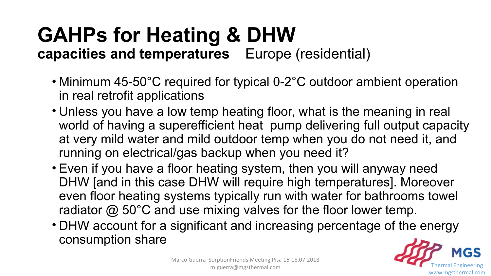#### **GAHPs for Heating & DHW capacities and temperatures** Europe (residential)

- Minimum 45-50°C required for typical 0-2°C outdoor ambient operation in real retrofit applications
- Unless you have a low temp heating floor, what is the meaning in real world of having a superefficient heat pump delivering full output capacity at very mild water and mild outdoor temp when you do not need it, and running on electrical/gas backup when you need it?
- Even if you have a floor heating system, then you will anyway need DHW [and in this case DHW will require high temperatures]. Moreover even floor heating systems typically run with water for bathrooms towel radiator  $\omega$  50°C and use mixing valves for the floor lower temp.
- DHW account for a significant and increasing percentage of the energy consumption share

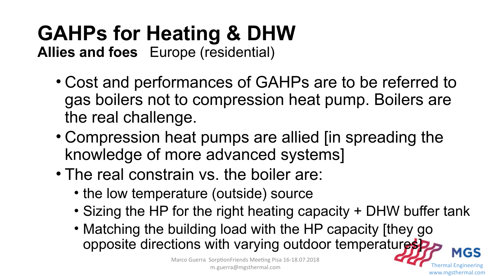### **GAHPs for Heating & DHW**

**Allies and foes** Europe (residential)

- Cost and performances of GAHPs are to be referred to gas boilers not to compression heat pump. Boilers are the real challenge.
- Compression heat pumps are allied [in spreading the knowledge of more advanced systems]
- The real constrain vs. the boiler are:
	- the low temperature (outside) source
	- Sizing the HP for the right heating capacity + DHW buffer tank

www.mgsthermal.com

**MGS** 

• Matching the building load with the HP capacity [they go opposite directions with varying outdoor temperatures

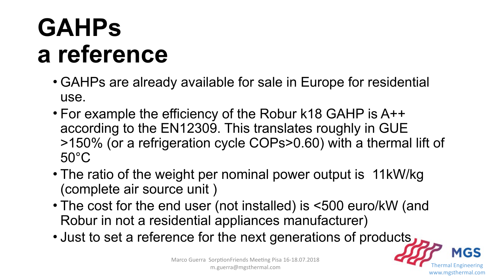### **GAHPs a reference**

- GAHPs are already available for sale in Europe for residential use.
- For example the efficiency of the Robur k18 GAHP is A++ according to the EN12309. This translates roughly in GUE >150% (or a refrigeration cycle COPs>0.60) with a thermal lift of 50°C
- The ratio of the weight per nominal power output is 11kW/kg (complete air source unit )
- The cost for the end user (not installed) is <500 euro/kW (and Robur in not a residential appliances manufacturer)
- Just to set a reference for the next generations of products

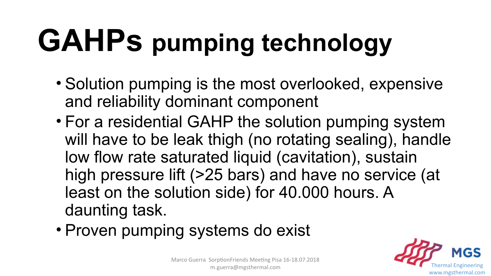## **GAHPs pumping technology**

- Solution pumping is the most overlooked, expensive and reliability dominant component
- For a residential GAHP the solution pumping system will have to be leak thigh (no rotating sealing), handle low flow rate saturated liquid (cavitation), sustain high pressure lift (>25 bars) and have no service (at least on the solution side) for 40.000 hours. A daunting task.
- Proven pumping systems do exist

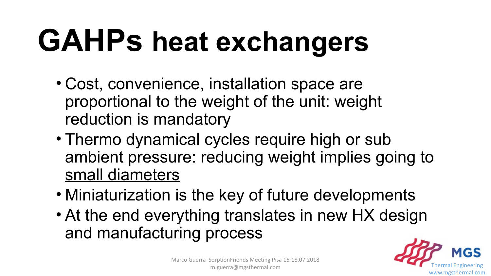## **GAHPs heat exchangers**

- Cost, convenience, installation space are proportional to the weight of the unit: weight reduction is mandatory
- Thermo dynamical cycles require high or sub ambient pressure: reducing weight implies going to small diameters
- Miniaturization is the key of future developments
- At the end everything translates in new HX design and manufacturing process

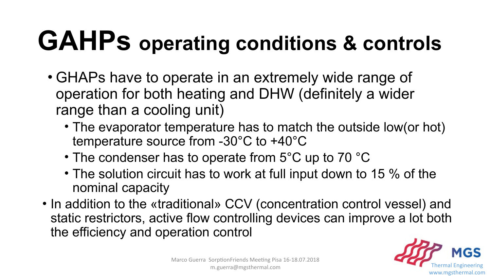## **GAHPs operating conditions & controls**

- GHAPs have to operate in an extremely wide range of operation for both heating and DHW (definitely a wider range than a cooling unit)
	- The evaporator temperature has to match the outside low(or hot) temperature source from -30°C to +40°C
	- The condenser has to operate from 5°C up to 70 °C
	- The solution circuit has to work at full input down to 15 % of the nominal capacity
- In addition to the «traditional» CCV (concentration control vessel) and static restrictors, active flow controlling devices can improve a lot both the efficiency and operation control

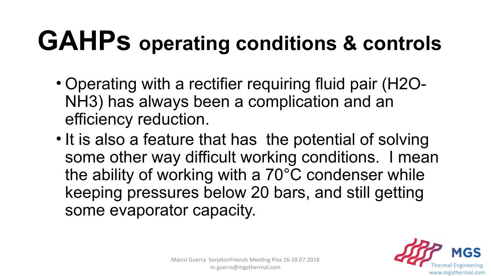## **GAHPs operating conditions & controls**

- Operating with a rectifier requiring fluid pair (H2O-NH3) has always been a complication and an efficiency reduction.
- It is also a feature that has the potential of solving some other way difficult working conditions. I mean the ability of working with a 70°C condenser while keeping pressures below 20 bars, and still getting some evaporator capacity.

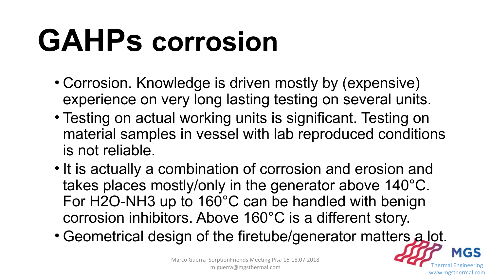## **GAHPs corrosion**

- Corrosion. Knowledge is driven mostly by (expensive) experience on very long lasting testing on several units.
- Testing on actual working units is significant. Testing on material samples in vessel with lab reproduced conditions is not reliable.
- It is actually a combination of corrosion and erosion and takes places mostly/only in the generator above 140°C. For H2O-NH3 up to 160°C can be handled with benign corrosion inhibitors. Above 160°C is a different story.
- Geometrical design of the firetube/generator matters a lot.

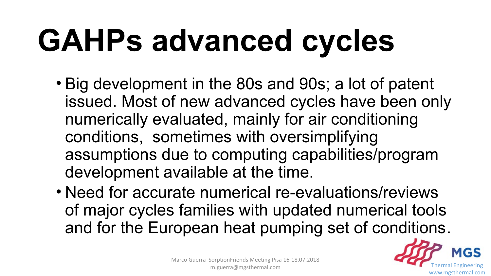# **GAHPs advanced cycles**

- Big development in the 80s and 90s; a lot of patent issued. Most of new advanced cycles have been only numerically evaluated, mainly for air conditioning conditions, sometimes with oversimplifying assumptions due to computing capabilities/program development available at the time.
- Need for accurate numerical re-evaluations/reviews of major cycles families with updated numerical tools and for the European heat pumping set of conditions.